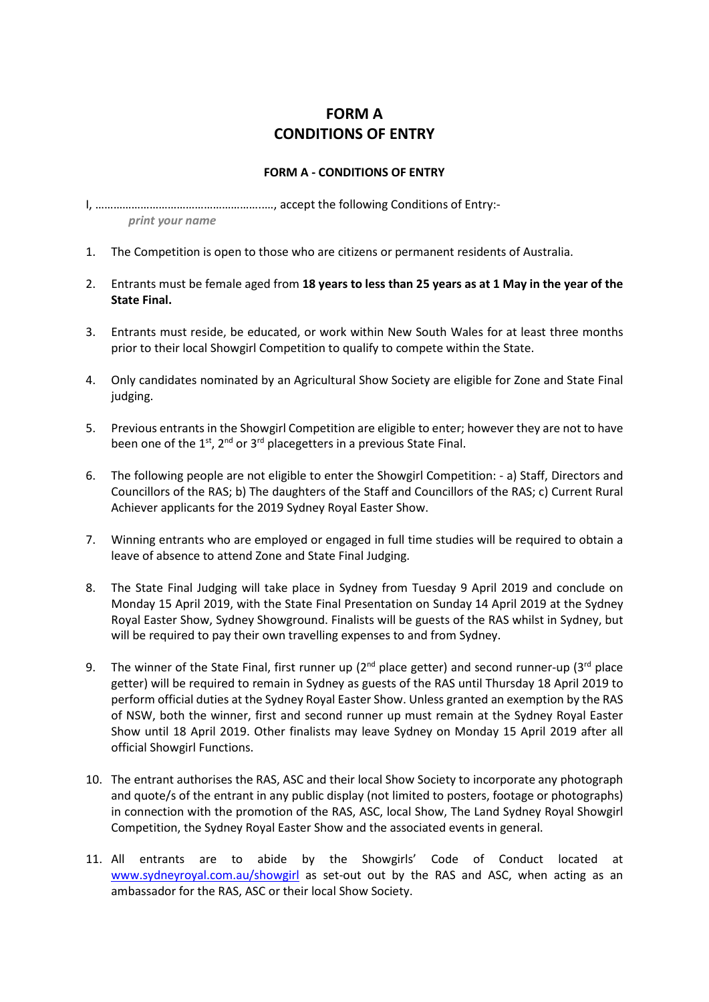## **FORM A CONDITIONS OF ENTRY**

## **FORM A - CONDITIONS OF ENTRY**

I, ………………………………………………..…, accept the following Conditions of Entry:-

 *print your name*

- 1. The Competition is open to those who are citizens or permanent residents of Australia.
- 2. Entrants must be female aged from **18 years to less than 25 years as at 1 May in the year of the State Final.**
- 3. Entrants must reside, be educated, or work within New South Wales for at least three months prior to their local Showgirl Competition to qualify to compete within the State.
- 4. Only candidates nominated by an Agricultural Show Society are eligible for Zone and State Final judging.
- 5. Previous entrants in the Showgirl Competition are eligible to enter; however they are not to have been one of the  $1^{st}$ ,  $2^{nd}$  or  $3^{rd}$  placegetters in a previous State Final.
- 6. The following people are not eligible to enter the Showgirl Competition: a) Staff, Directors and Councillors of the RAS; b) The daughters of the Staff and Councillors of the RAS; c) Current Rural Achiever applicants for the 2019 Sydney Royal Easter Show.
- 7. Winning entrants who are employed or engaged in full time studies will be required to obtain a leave of absence to attend Zone and State Final Judging.
- 8. The State Final Judging will take place in Sydney from Tuesday 9 April 2019 and conclude on Monday 15 April 2019, with the State Final Presentation on Sunday 14 April 2019 at the Sydney Royal Easter Show, Sydney Showground. Finalists will be guests of the RAS whilst in Sydney, but will be required to pay their own travelling expenses to and from Sydney.
- 9. The winner of the State Final, first runner up ( $2^{nd}$  place getter) and second runner-up ( $3^{rd}$  place getter) will be required to remain in Sydney as guests of the RAS until Thursday 18 April 2019 to perform official duties at the Sydney Royal Easter Show. Unless granted an exemption by the RAS of NSW, both the winner, first and second runner up must remain at the Sydney Royal Easter Show until 18 April 2019. Other finalists may leave Sydney on Monday 15 April 2019 after all official Showgirl Functions.
- 10. The entrant authorises the RAS, ASC and their local Show Society to incorporate any photograph and quote/s of the entrant in any public display (not limited to posters, footage or photographs) in connection with the promotion of the RAS, ASC, local Show, The Land Sydney Royal Showgirl Competition, the Sydney Royal Easter Show and the associated events in general.
- 11. All entrants are to abide by the Showgirls' Code of Conduct located at [www.sydneyroyal.com.au/showgirl](http://www.sydneyroyal.com.au/showgirl) as set-out out by the RAS and ASC, when acting as an ambassador for the RAS, ASC or their local Show Society.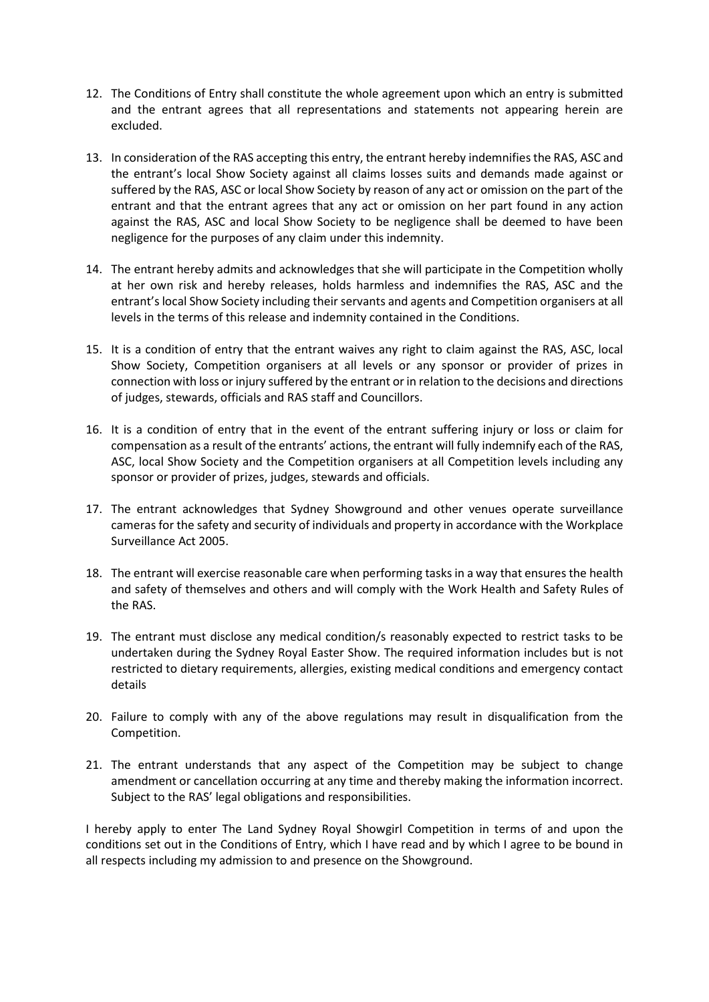- 12. The Conditions of Entry shall constitute the whole agreement upon which an entry is submitted and the entrant agrees that all representations and statements not appearing herein are excluded.
- 13. In consideration of the RAS accepting this entry, the entrant hereby indemnifies the RAS, ASC and the entrant's local Show Society against all claims losses suits and demands made against or suffered by the RAS, ASC or local Show Society by reason of any act or omission on the part of the entrant and that the entrant agrees that any act or omission on her part found in any action against the RAS, ASC and local Show Society to be negligence shall be deemed to have been negligence for the purposes of any claim under this indemnity.
- 14. The entrant hereby admits and acknowledges that she will participate in the Competition wholly at her own risk and hereby releases, holds harmless and indemnifies the RAS, ASC and the entrant's local Show Society including their servants and agents and Competition organisers at all levels in the terms of this release and indemnity contained in the Conditions.
- 15. It is a condition of entry that the entrant waives any right to claim against the RAS, ASC, local Show Society, Competition organisers at all levels or any sponsor or provider of prizes in connection with loss or injury suffered by the entrant or in relation to the decisions and directions of judges, stewards, officials and RAS staff and Councillors.
- 16. It is a condition of entry that in the event of the entrant suffering injury or loss or claim for compensation as a result of the entrants' actions, the entrant will fully indemnify each of the RAS, ASC, local Show Society and the Competition organisers at all Competition levels including any sponsor or provider of prizes, judges, stewards and officials.
- 17. The entrant acknowledges that Sydney Showground and other venues operate surveillance cameras for the safety and security of individuals and property in accordance with the Workplace Surveillance Act 2005.
- 18. The entrant will exercise reasonable care when performing tasks in a way that ensures the health and safety of themselves and others and will comply with the Work Health and Safety Rules of the RAS.
- 19. The entrant must disclose any medical condition/s reasonably expected to restrict tasks to be undertaken during the Sydney Royal Easter Show. The required information includes but is not restricted to dietary requirements, allergies, existing medical conditions and emergency contact details
- 20. Failure to comply with any of the above regulations may result in disqualification from the Competition.
- 21. The entrant understands that any aspect of the Competition may be subject to change amendment or cancellation occurring at any time and thereby making the information incorrect. Subject to the RAS' legal obligations and responsibilities.

I hereby apply to enter The Land Sydney Royal Showgirl Competition in terms of and upon the conditions set out in the Conditions of Entry, which I have read and by which I agree to be bound in all respects including my admission to and presence on the Showground.